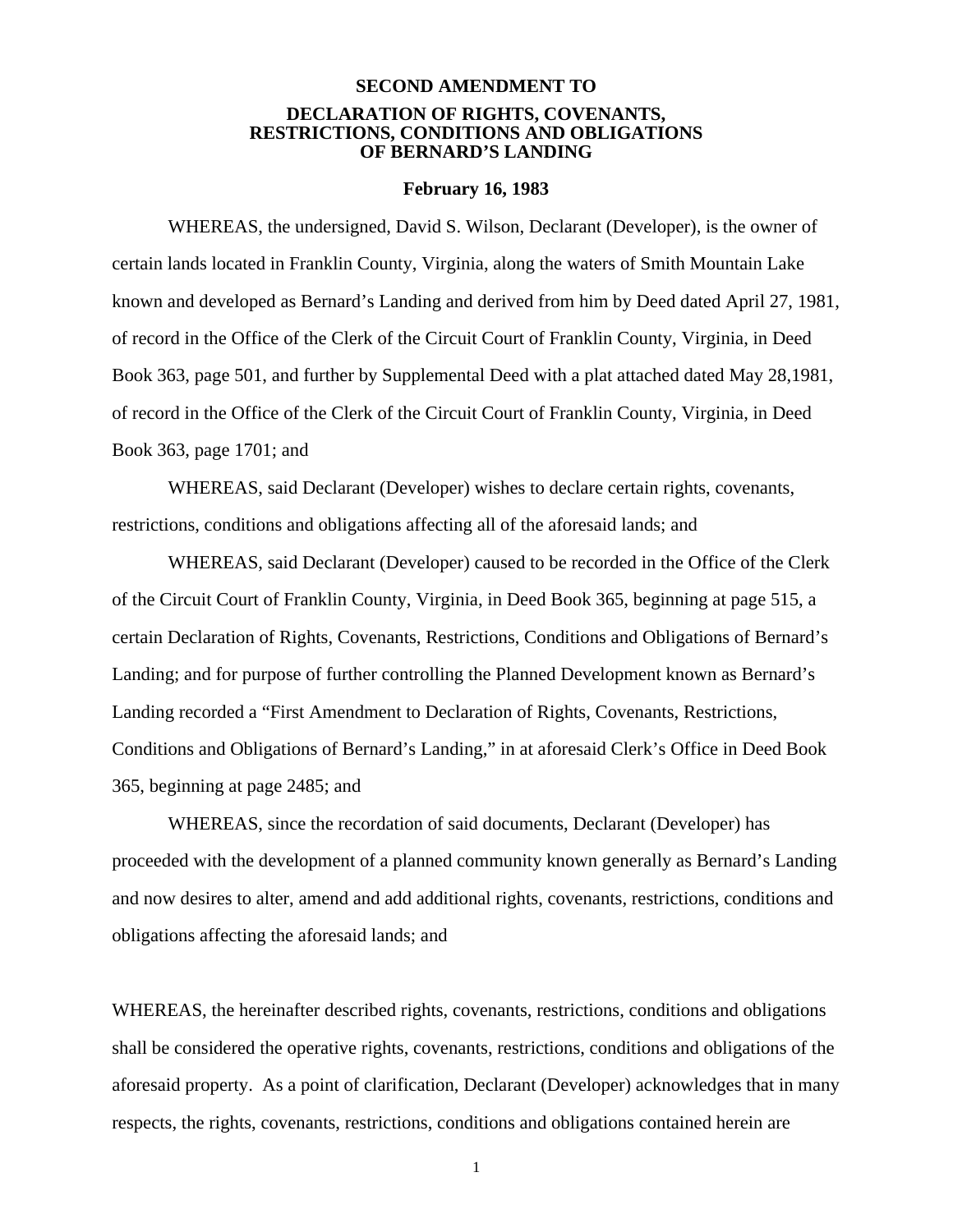## **SECOND AMENDMENT TO DECLARATION OF RIGHTS, COVENANTS, RESTRICTIONS, CONDITIONS AND OBLIGATIONS OF BERNARD'S LANDING**

#### **February 16, 1983**

WHEREAS, the undersigned, David S. Wilson, Declarant (Developer), is the owner of certain lands located in Franklin County, Virginia, along the waters of Smith Mountain Lake known and developed as Bernard's Landing and derived from him by Deed dated April 27, 1981, of record in the Office of the Clerk of the Circuit Court of Franklin County, Virginia, in Deed Book 363, page 501, and further by Supplemental Deed with a plat attached dated May 28,1981, of record in the Office of the Clerk of the Circuit Court of Franklin County, Virginia, in Deed Book 363, page 1701; and

WHEREAS, said Declarant (Developer) wishes to declare certain rights, covenants, restrictions, conditions and obligations affecting all of the aforesaid lands; and

WHEREAS, said Declarant (Developer) caused to be recorded in the Office of the Clerk of the Circuit Court of Franklin County, Virginia, in Deed Book 365, beginning at page 515, a certain Declaration of Rights, Covenants, Restrictions, Conditions and Obligations of Bernard's Landing; and for purpose of further controlling the Planned Development known as Bernard's Landing recorded a "First Amendment to Declaration of Rights, Covenants, Restrictions, Conditions and Obligations of Bernard's Landing," in at aforesaid Clerk's Office in Deed Book 365, beginning at page 2485; and

WHEREAS, since the recordation of said documents, Declarant (Developer) has proceeded with the development of a planned community known generally as Bernard's Landing and now desires to alter, amend and add additional rights, covenants, restrictions, conditions and obligations affecting the aforesaid lands; and

WHEREAS, the hereinafter described rights, covenants, restrictions, conditions and obligations shall be considered the operative rights, covenants, restrictions, conditions and obligations of the aforesaid property. As a point of clarification, Declarant (Developer) acknowledges that in many respects, the rights, covenants, restrictions, conditions and obligations contained herein are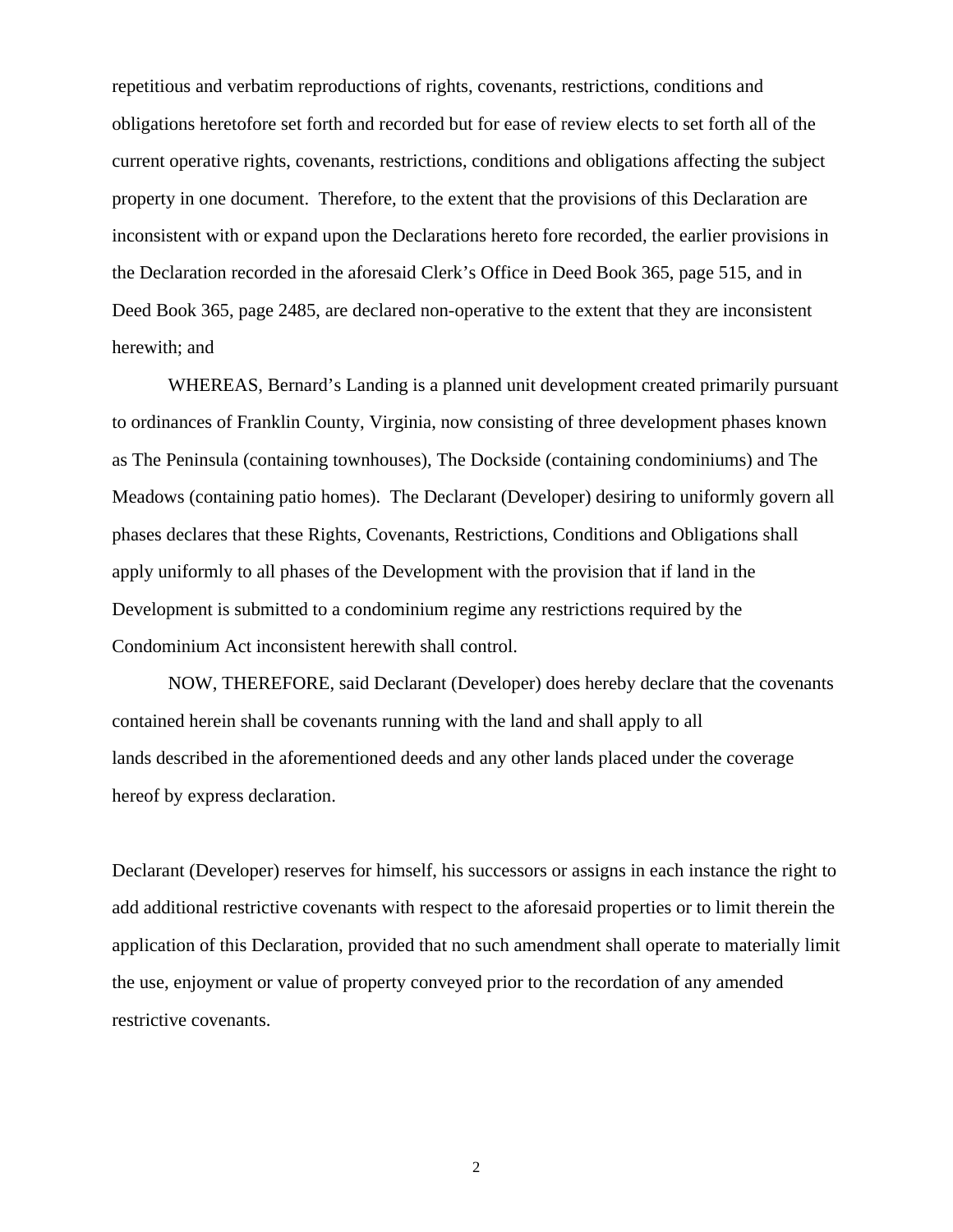repetitious and verbatim reproductions of rights, covenants, restrictions, conditions and obligations heretofore set forth and recorded but for ease of review elects to set forth all of the current operative rights, covenants, restrictions, conditions and obligations affecting the subject property in one document. Therefore, to the extent that the provisions of this Declaration are inconsistent with or expand upon the Declarations hereto fore recorded, the earlier provisions in the Declaration recorded in the aforesaid Clerk's Office in Deed Book 365, page 515, and in Deed Book 365, page 2485, are declared non-operative to the extent that they are inconsistent herewith; and

WHEREAS, Bernard's Landing is a planned unit development created primarily pursuant to ordinances of Franklin County, Virginia, now consisting of three development phases known as The Peninsula (containing townhouses), The Dockside (containing condominiums) and The Meadows (containing patio homes). The Declarant (Developer) desiring to uniformly govern all phases declares that these Rights, Covenants, Restrictions, Conditions and Obligations shall apply uniformly to all phases of the Development with the provision that if land in the Development is submitted to a condominium regime any restrictions required by the Condominium Act inconsistent herewith shall control.

NOW, THEREFORE, said Declarant (Developer) does hereby declare that the covenants contained herein shall be covenants running with the land and shall apply to all lands described in the aforementioned deeds and any other lands placed under the coverage hereof by express declaration.

Declarant (Developer) reserves for himself, his successors or assigns in each instance the right to add additional restrictive covenants with respect to the aforesaid properties or to limit therein the application of this Declaration, provided that no such amendment shall operate to materially limit the use, enjoyment or value of property conveyed prior to the recordation of any amended restrictive covenants.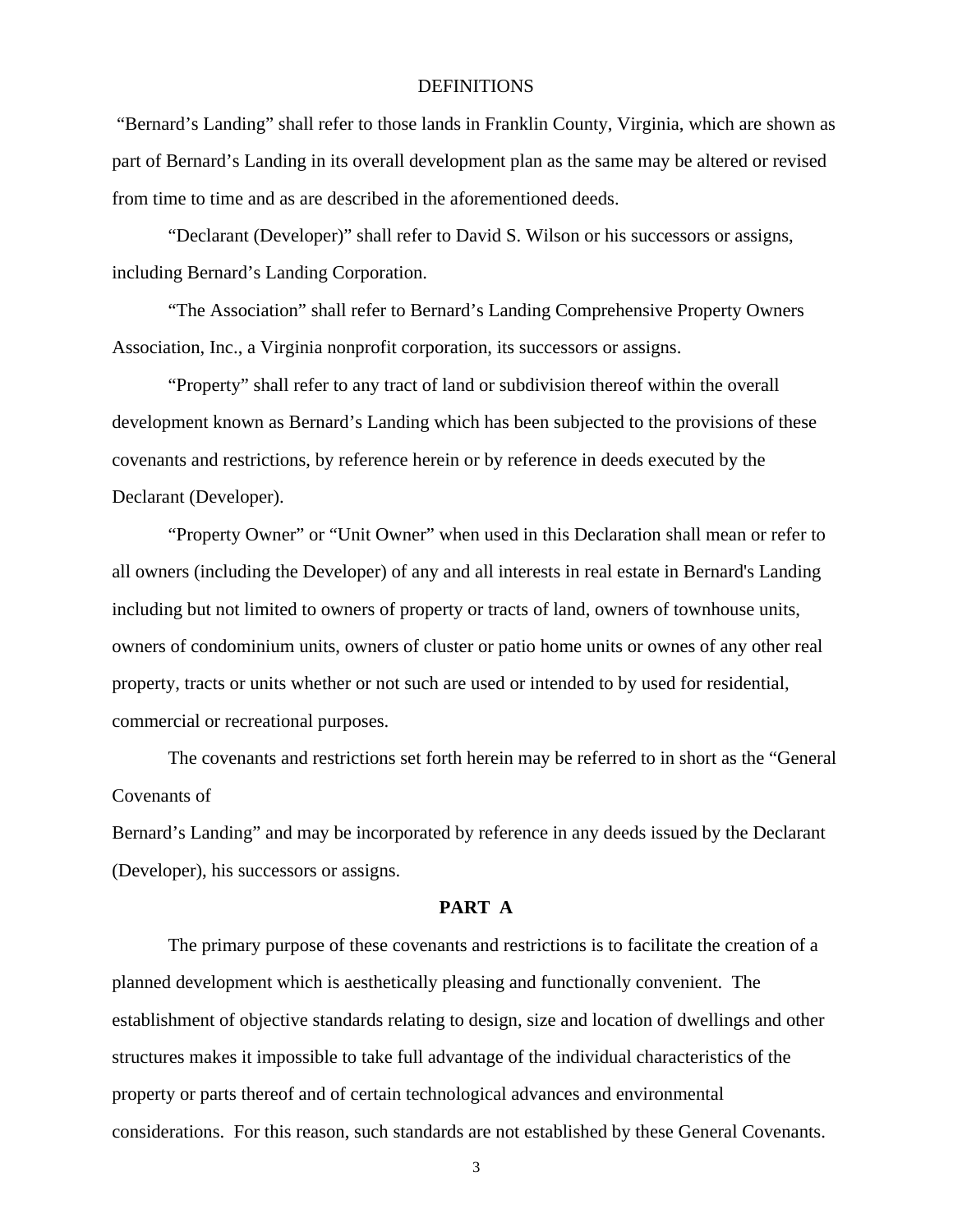#### DEFINITIONS

 "Bernard's Landing" shall refer to those lands in Franklin County, Virginia, which are shown as part of Bernard's Landing in its overall development plan as the same may be altered or revised from time to time and as are described in the aforementioned deeds.

"Declarant (Developer)" shall refer to David S. Wilson or his successors or assigns, including Bernard's Landing Corporation.

"The Association" shall refer to Bernard's Landing Comprehensive Property Owners Association, Inc., a Virginia nonprofit corporation, its successors or assigns.

"Property" shall refer to any tract of land or subdivision thereof within the overall development known as Bernard's Landing which has been subjected to the provisions of these covenants and restrictions, by reference herein or by reference in deeds executed by the Declarant (Developer).

"Property Owner" or "Unit Owner" when used in this Declaration shall mean or refer to all owners (including the Developer) of any and all interests in real estate in Bernard's Landing including but not limited to owners of property or tracts of land, owners of townhouse units, owners of condominium units, owners of cluster or patio home units or ownes of any other real property, tracts or units whether or not such are used or intended to by used for residential, commercial or recreational purposes.

The covenants and restrictions set forth herein may be referred to in short as the "General Covenants of

Bernard's Landing" and may be incorporated by reference in any deeds issued by the Declarant (Developer), his successors or assigns.

### **PART A**

The primary purpose of these covenants and restrictions is to facilitate the creation of a planned development which is aesthetically pleasing and functionally convenient. The establishment of objective standards relating to design, size and location of dwellings and other structures makes it impossible to take full advantage of the individual characteristics of the property or parts thereof and of certain technological advances and environmental considerations. For this reason, such standards are not established by these General Covenants.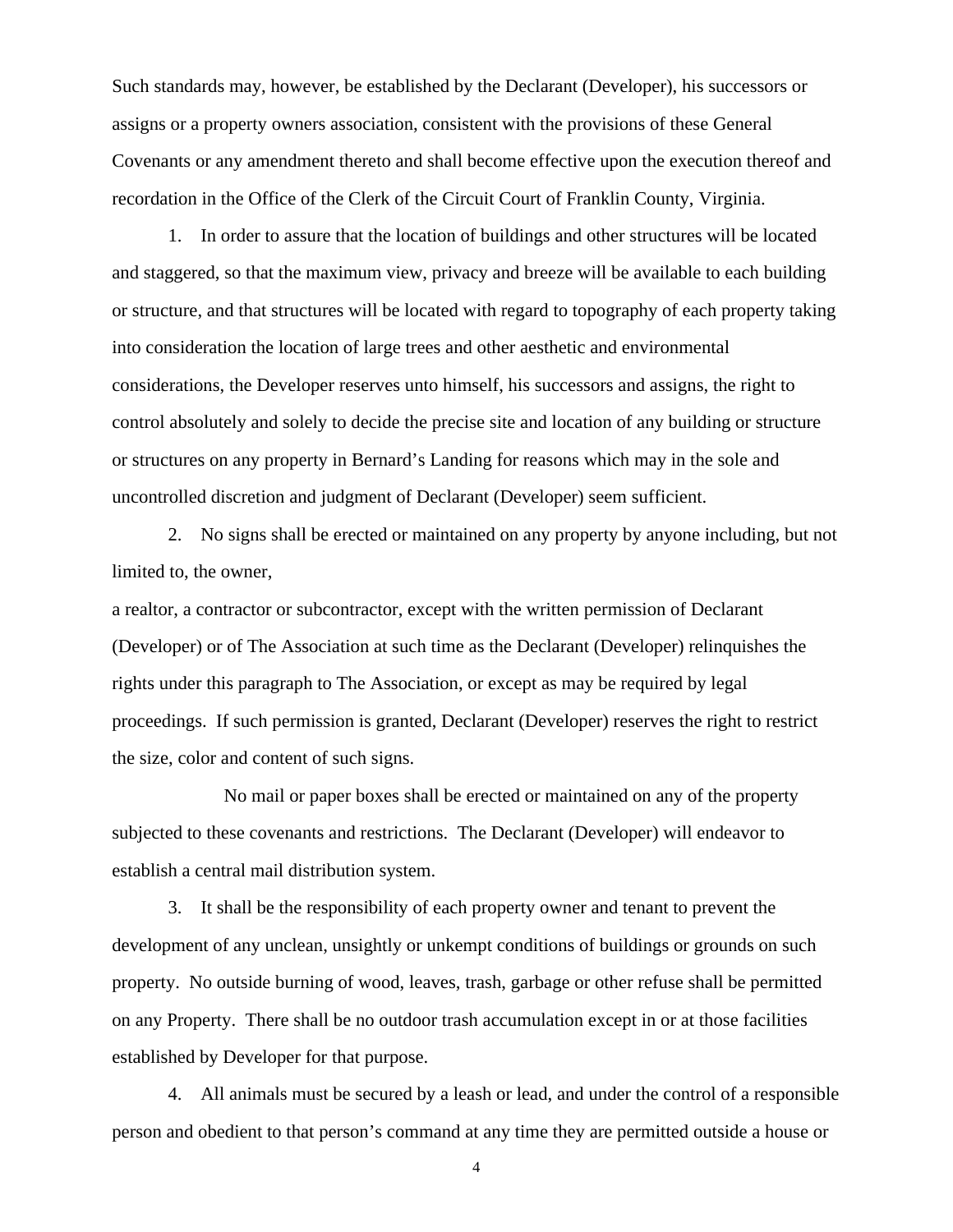Such standards may, however, be established by the Declarant (Developer), his successors or assigns or a property owners association, consistent with the provisions of these General Covenants or any amendment thereto and shall become effective upon the execution thereof and recordation in the Office of the Clerk of the Circuit Court of Franklin County, Virginia.

1. In order to assure that the location of buildings and other structures will be located and staggered, so that the maximum view, privacy and breeze will be available to each building or structure, and that structures will be located with regard to topography of each property taking into consideration the location of large trees and other aesthetic and environmental considerations, the Developer reserves unto himself, his successors and assigns, the right to control absolutely and solely to decide the precise site and location of any building or structure or structures on any property in Bernard's Landing for reasons which may in the sole and uncontrolled discretion and judgment of Declarant (Developer) seem sufficient.

2. No signs shall be erected or maintained on any property by anyone including, but not limited to, the owner,

a realtor, a contractor or subcontractor, except with the written permission of Declarant (Developer) or of The Association at such time as the Declarant (Developer) relinquishes the rights under this paragraph to The Association, or except as may be required by legal proceedings. If such permission is granted, Declarant (Developer) reserves the right to restrict the size, color and content of such signs.

No mail or paper boxes shall be erected or maintained on any of the property subjected to these covenants and restrictions. The Declarant (Developer) will endeavor to establish a central mail distribution system.

3. It shall be the responsibility of each property owner and tenant to prevent the development of any unclean, unsightly or unkempt conditions of buildings or grounds on such property. No outside burning of wood, leaves, trash, garbage or other refuse shall be permitted on any Property. There shall be no outdoor trash accumulation except in or at those facilities established by Developer for that purpose.

4. All animals must be secured by a leash or lead, and under the control of a responsible person and obedient to that person's command at any time they are permitted outside a house or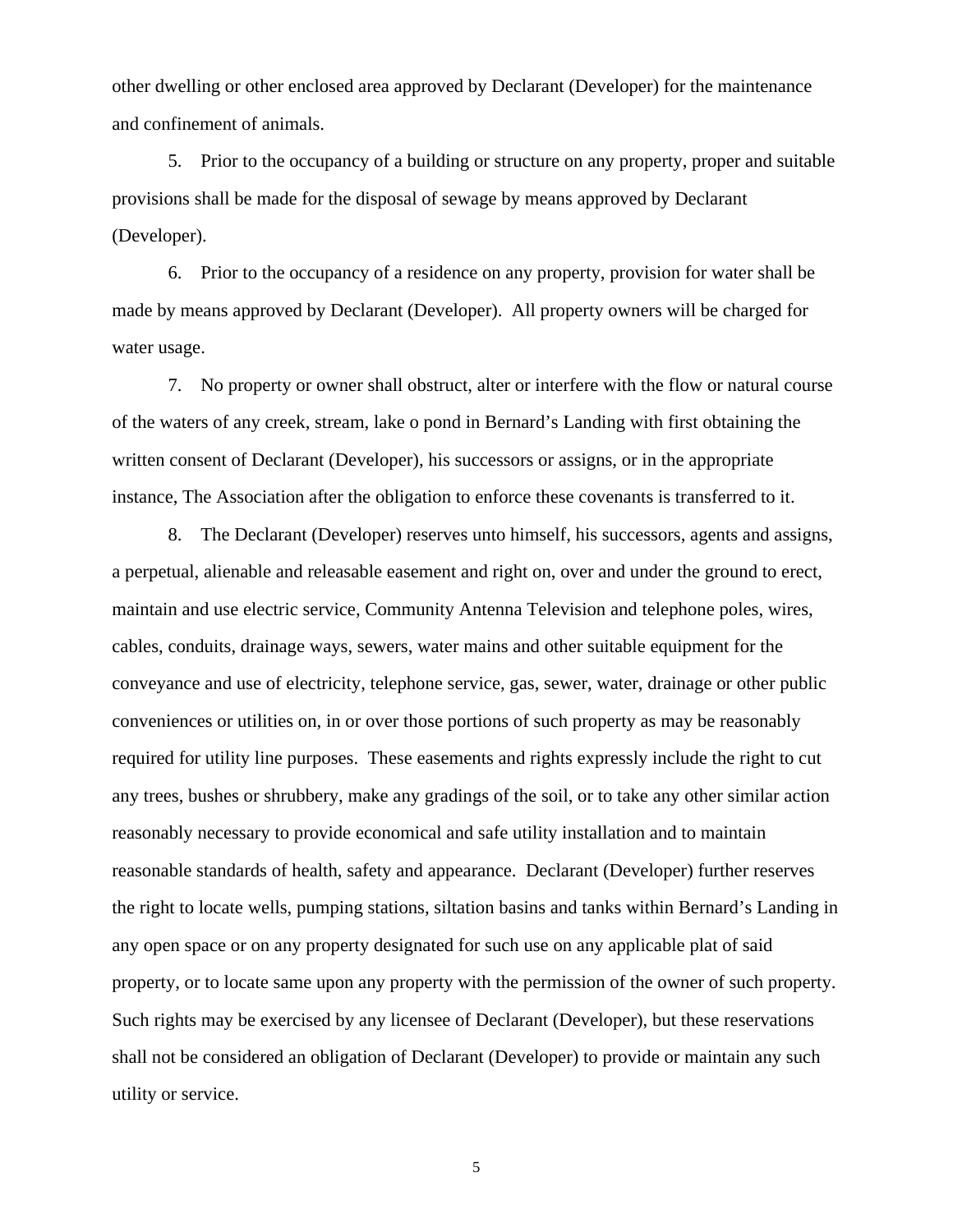other dwelling or other enclosed area approved by Declarant (Developer) for the maintenance and confinement of animals.

5. Prior to the occupancy of a building or structure on any property, proper and suitable provisions shall be made for the disposal of sewage by means approved by Declarant (Developer).

6. Prior to the occupancy of a residence on any property, provision for water shall be made by means approved by Declarant (Developer). All property owners will be charged for water usage.

7. No property or owner shall obstruct, alter or interfere with the flow or natural course of the waters of any creek, stream, lake o pond in Bernard's Landing with first obtaining the written consent of Declarant (Developer), his successors or assigns, or in the appropriate instance, The Association after the obligation to enforce these covenants is transferred to it.

8. The Declarant (Developer) reserves unto himself, his successors, agents and assigns, a perpetual, alienable and releasable easement and right on, over and under the ground to erect, maintain and use electric service, Community Antenna Television and telephone poles, wires, cables, conduits, drainage ways, sewers, water mains and other suitable equipment for the conveyance and use of electricity, telephone service, gas, sewer, water, drainage or other public conveniences or utilities on, in or over those portions of such property as may be reasonably required for utility line purposes. These easements and rights expressly include the right to cut any trees, bushes or shrubbery, make any gradings of the soil, or to take any other similar action reasonably necessary to provide economical and safe utility installation and to maintain reasonable standards of health, safety and appearance. Declarant (Developer) further reserves the right to locate wells, pumping stations, siltation basins and tanks within Bernard's Landing in any open space or on any property designated for such use on any applicable plat of said property, or to locate same upon any property with the permission of the owner of such property. Such rights may be exercised by any licensee of Declarant (Developer), but these reservations shall not be considered an obligation of Declarant (Developer) to provide or maintain any such utility or service.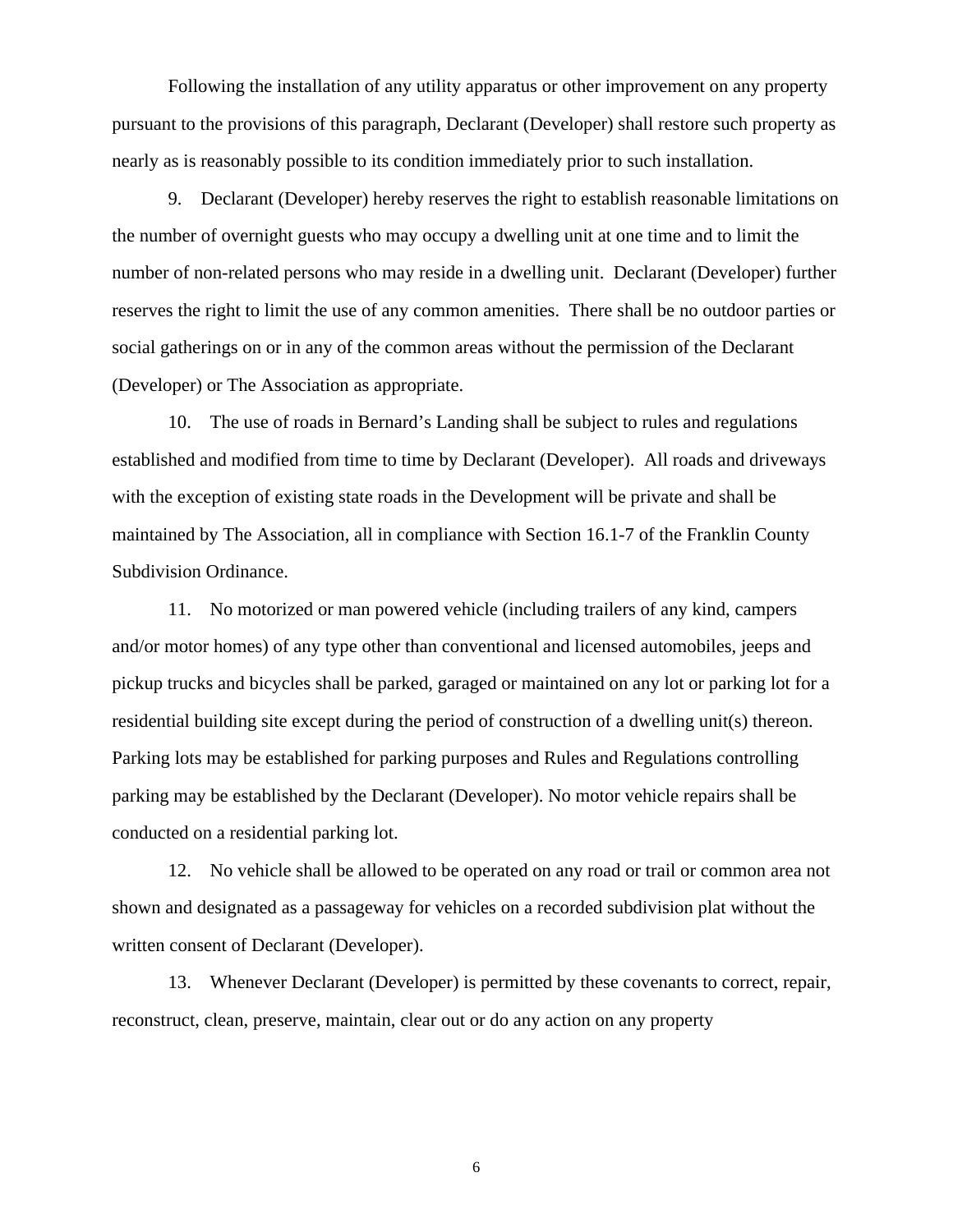Following the installation of any utility apparatus or other improvement on any property pursuant to the provisions of this paragraph, Declarant (Developer) shall restore such property as nearly as is reasonably possible to its condition immediately prior to such installation.

9. Declarant (Developer) hereby reserves the right to establish reasonable limitations on the number of overnight guests who may occupy a dwelling unit at one time and to limit the number of non-related persons who may reside in a dwelling unit. Declarant (Developer) further reserves the right to limit the use of any common amenities. There shall be no outdoor parties or social gatherings on or in any of the common areas without the permission of the Declarant (Developer) or The Association as appropriate.

10. The use of roads in Bernard's Landing shall be subject to rules and regulations established and modified from time to time by Declarant (Developer). All roads and driveways with the exception of existing state roads in the Development will be private and shall be maintained by The Association, all in compliance with Section 16.1-7 of the Franklin County Subdivision Ordinance.

11. No motorized or man powered vehicle (including trailers of any kind, campers and/or motor homes) of any type other than conventional and licensed automobiles, jeeps and pickup trucks and bicycles shall be parked, garaged or maintained on any lot or parking lot for a residential building site except during the period of construction of a dwelling unit(s) thereon. Parking lots may be established for parking purposes and Rules and Regulations controlling parking may be established by the Declarant (Developer). No motor vehicle repairs shall be conducted on a residential parking lot.

12. No vehicle shall be allowed to be operated on any road or trail or common area not shown and designated as a passageway for vehicles on a recorded subdivision plat without the written consent of Declarant (Developer).

13. Whenever Declarant (Developer) is permitted by these covenants to correct, repair, reconstruct, clean, preserve, maintain, clear out or do any action on any property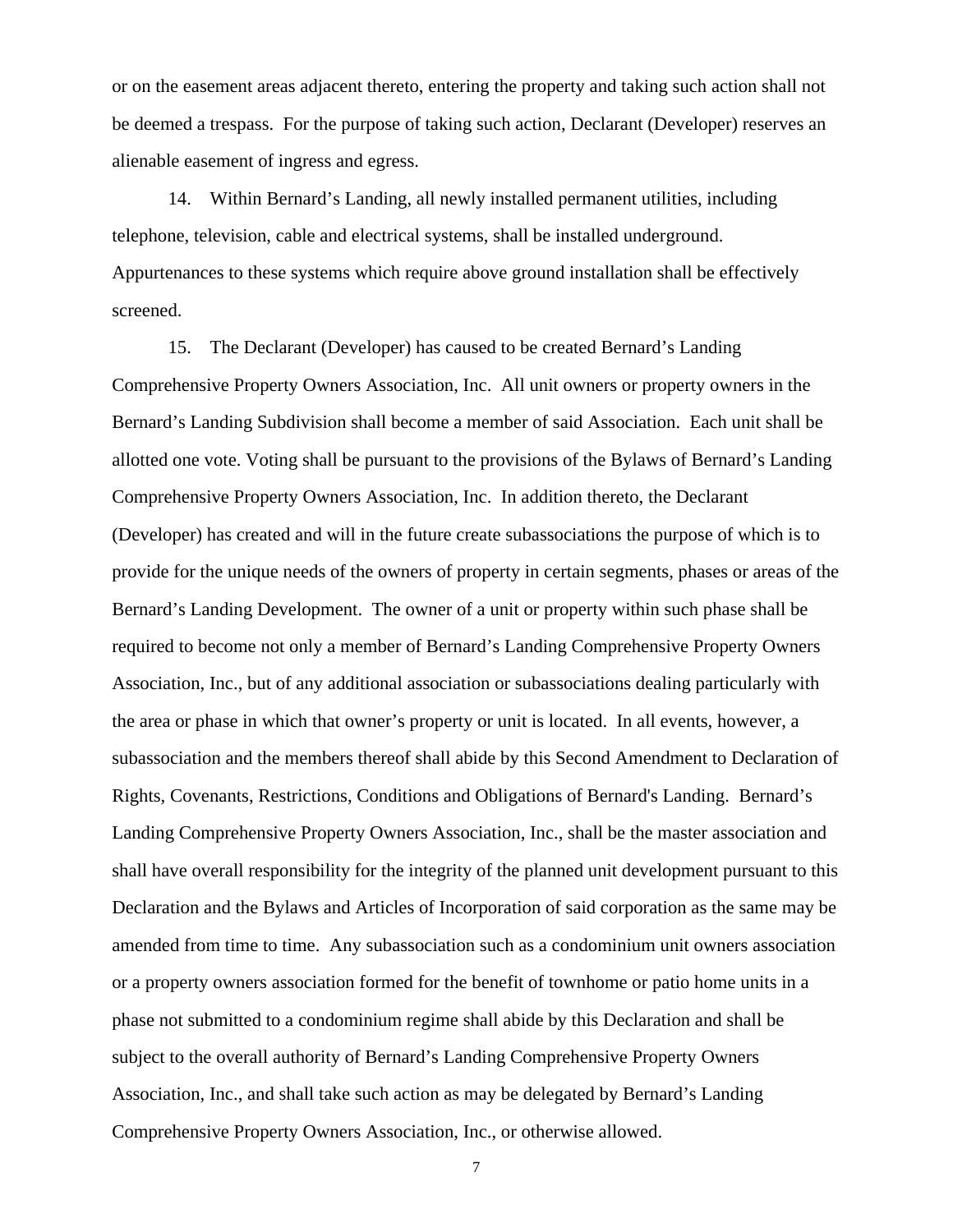or on the easement areas adjacent thereto, entering the property and taking such action shall not be deemed a trespass. For the purpose of taking such action, Declarant (Developer) reserves an alienable easement of ingress and egress.

14. Within Bernard's Landing, all newly installed permanent utilities, including telephone, television, cable and electrical systems, shall be installed underground. Appurtenances to these systems which require above ground installation shall be effectively screened.

15. The Declarant (Developer) has caused to be created Bernard's Landing Comprehensive Property Owners Association, Inc. All unit owners or property owners in the Bernard's Landing Subdivision shall become a member of said Association. Each unit shall be allotted one vote. Voting shall be pursuant to the provisions of the Bylaws of Bernard's Landing Comprehensive Property Owners Association, Inc. In addition thereto, the Declarant (Developer) has created and will in the future create subassociations the purpose of which is to provide for the unique needs of the owners of property in certain segments, phases or areas of the Bernard's Landing Development. The owner of a unit or property within such phase shall be required to become not only a member of Bernard's Landing Comprehensive Property Owners Association, Inc., but of any additional association or subassociations dealing particularly with the area or phase in which that owner's property or unit is located. In all events, however, a subassociation and the members thereof shall abide by this Second Amendment to Declaration of Rights, Covenants, Restrictions, Conditions and Obligations of Bernard's Landing. Bernard's Landing Comprehensive Property Owners Association, Inc., shall be the master association and shall have overall responsibility for the integrity of the planned unit development pursuant to this Declaration and the Bylaws and Articles of Incorporation of said corporation as the same may be amended from time to time. Any subassociation such as a condominium unit owners association or a property owners association formed for the benefit of townhome or patio home units in a phase not submitted to a condominium regime shall abide by this Declaration and shall be subject to the overall authority of Bernard's Landing Comprehensive Property Owners Association, Inc., and shall take such action as may be delegated by Bernard's Landing Comprehensive Property Owners Association, Inc., or otherwise allowed.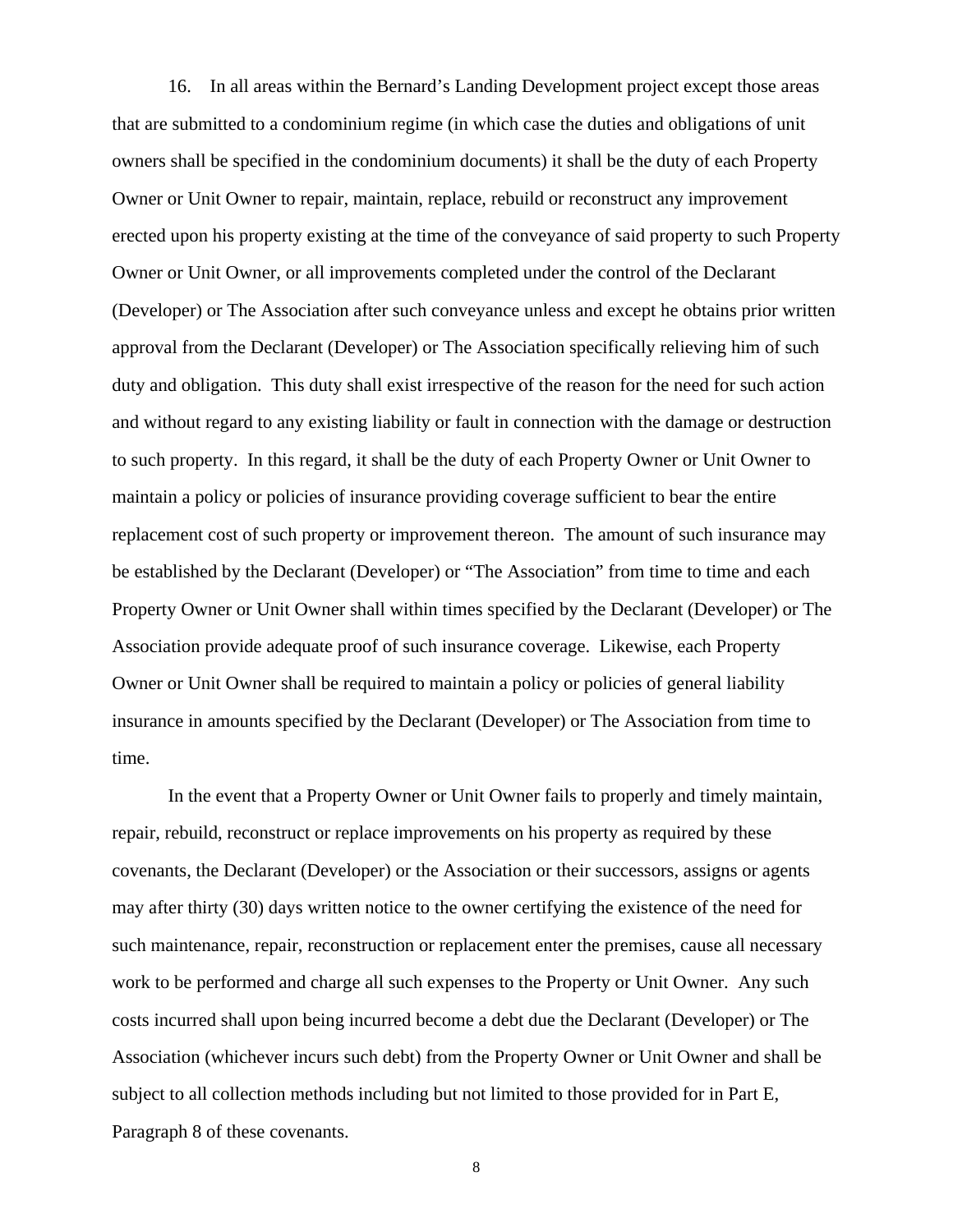16. In all areas within the Bernard's Landing Development project except those areas that are submitted to a condominium regime (in which case the duties and obligations of unit owners shall be specified in the condominium documents) it shall be the duty of each Property Owner or Unit Owner to repair, maintain, replace, rebuild or reconstruct any improvement erected upon his property existing at the time of the conveyance of said property to such Property Owner or Unit Owner, or all improvements completed under the control of the Declarant (Developer) or The Association after such conveyance unless and except he obtains prior written approval from the Declarant (Developer) or The Association specifically relieving him of such duty and obligation. This duty shall exist irrespective of the reason for the need for such action and without regard to any existing liability or fault in connection with the damage or destruction to such property. In this regard, it shall be the duty of each Property Owner or Unit Owner to maintain a policy or policies of insurance providing coverage sufficient to bear the entire replacement cost of such property or improvement thereon. The amount of such insurance may be established by the Declarant (Developer) or "The Association" from time to time and each Property Owner or Unit Owner shall within times specified by the Declarant (Developer) or The Association provide adequate proof of such insurance coverage. Likewise, each Property Owner or Unit Owner shall be required to maintain a policy or policies of general liability insurance in amounts specified by the Declarant (Developer) or The Association from time to time.

In the event that a Property Owner or Unit Owner fails to properly and timely maintain, repair, rebuild, reconstruct or replace improvements on his property as required by these covenants, the Declarant (Developer) or the Association or their successors, assigns or agents may after thirty (30) days written notice to the owner certifying the existence of the need for such maintenance, repair, reconstruction or replacement enter the premises, cause all necessary work to be performed and charge all such expenses to the Property or Unit Owner. Any such costs incurred shall upon being incurred become a debt due the Declarant (Developer) or The Association (whichever incurs such debt) from the Property Owner or Unit Owner and shall be subject to all collection methods including but not limited to those provided for in Part E, Paragraph 8 of these covenants.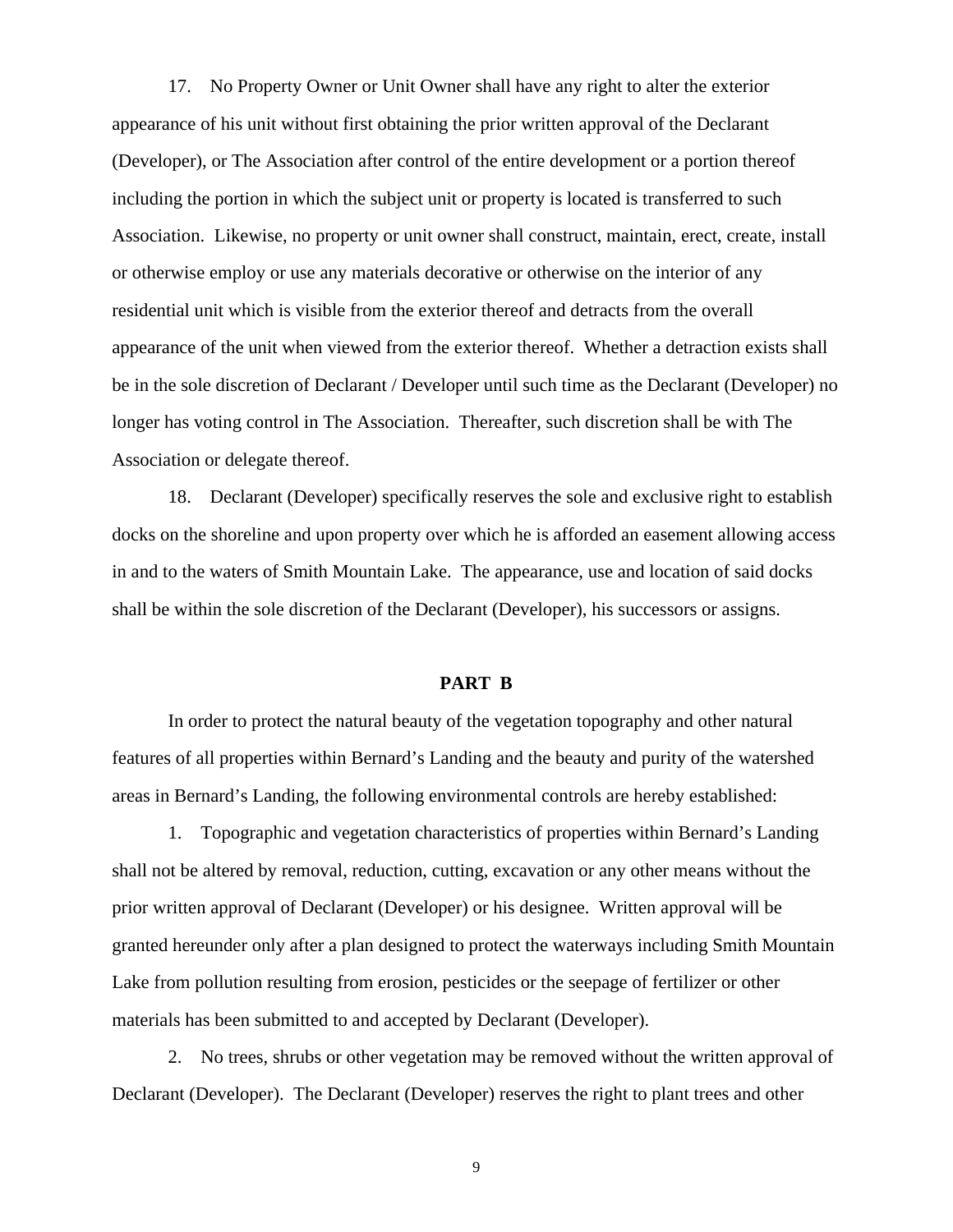17. No Property Owner or Unit Owner shall have any right to alter the exterior appearance of his unit without first obtaining the prior written approval of the Declarant (Developer), or The Association after control of the entire development or a portion thereof including the portion in which the subject unit or property is located is transferred to such Association. Likewise, no property or unit owner shall construct, maintain, erect, create, install or otherwise employ or use any materials decorative or otherwise on the interior of any residential unit which is visible from the exterior thereof and detracts from the overall appearance of the unit when viewed from the exterior thereof. Whether a detraction exists shall be in the sole discretion of Declarant / Developer until such time as the Declarant (Developer) no longer has voting control in The Association. Thereafter, such discretion shall be with The Association or delegate thereof.

18. Declarant (Developer) specifically reserves the sole and exclusive right to establish docks on the shoreline and upon property over which he is afforded an easement allowing access in and to the waters of Smith Mountain Lake. The appearance, use and location of said docks shall be within the sole discretion of the Declarant (Developer), his successors or assigns.

#### **PART B**

In order to protect the natural beauty of the vegetation topography and other natural features of all properties within Bernard's Landing and the beauty and purity of the watershed areas in Bernard's Landing, the following environmental controls are hereby established:

1. Topographic and vegetation characteristics of properties within Bernard's Landing shall not be altered by removal, reduction, cutting, excavation or any other means without the prior written approval of Declarant (Developer) or his designee. Written approval will be granted hereunder only after a plan designed to protect the waterways including Smith Mountain Lake from pollution resulting from erosion, pesticides or the seepage of fertilizer or other materials has been submitted to and accepted by Declarant (Developer).

2. No trees, shrubs or other vegetation may be removed without the written approval of Declarant (Developer). The Declarant (Developer) reserves the right to plant trees and other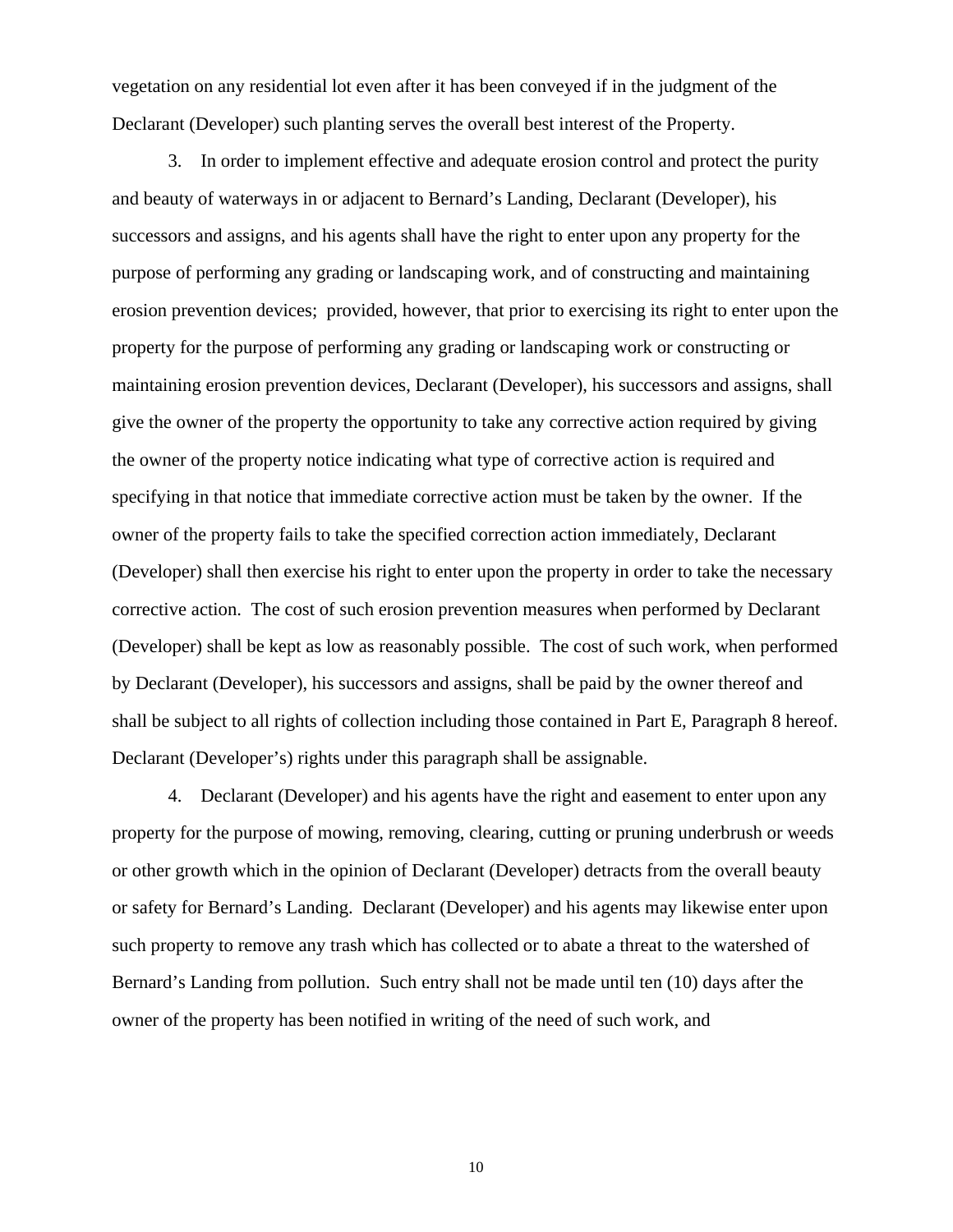vegetation on any residential lot even after it has been conveyed if in the judgment of the Declarant (Developer) such planting serves the overall best interest of the Property.

3. In order to implement effective and adequate erosion control and protect the purity and beauty of waterways in or adjacent to Bernard's Landing, Declarant (Developer), his successors and assigns, and his agents shall have the right to enter upon any property for the purpose of performing any grading or landscaping work, and of constructing and maintaining erosion prevention devices; provided, however, that prior to exercising its right to enter upon the property for the purpose of performing any grading or landscaping work or constructing or maintaining erosion prevention devices, Declarant (Developer), his successors and assigns, shall give the owner of the property the opportunity to take any corrective action required by giving the owner of the property notice indicating what type of corrective action is required and specifying in that notice that immediate corrective action must be taken by the owner. If the owner of the property fails to take the specified correction action immediately, Declarant (Developer) shall then exercise his right to enter upon the property in order to take the necessary corrective action. The cost of such erosion prevention measures when performed by Declarant (Developer) shall be kept as low as reasonably possible. The cost of such work, when performed by Declarant (Developer), his successors and assigns, shall be paid by the owner thereof and shall be subject to all rights of collection including those contained in Part E, Paragraph 8 hereof. Declarant (Developer's) rights under this paragraph shall be assignable.

4. Declarant (Developer) and his agents have the right and easement to enter upon any property for the purpose of mowing, removing, clearing, cutting or pruning underbrush or weeds or other growth which in the opinion of Declarant (Developer) detracts from the overall beauty or safety for Bernard's Landing. Declarant (Developer) and his agents may likewise enter upon such property to remove any trash which has collected or to abate a threat to the watershed of Bernard's Landing from pollution. Such entry shall not be made until ten (10) days after the owner of the property has been notified in writing of the need of such work, and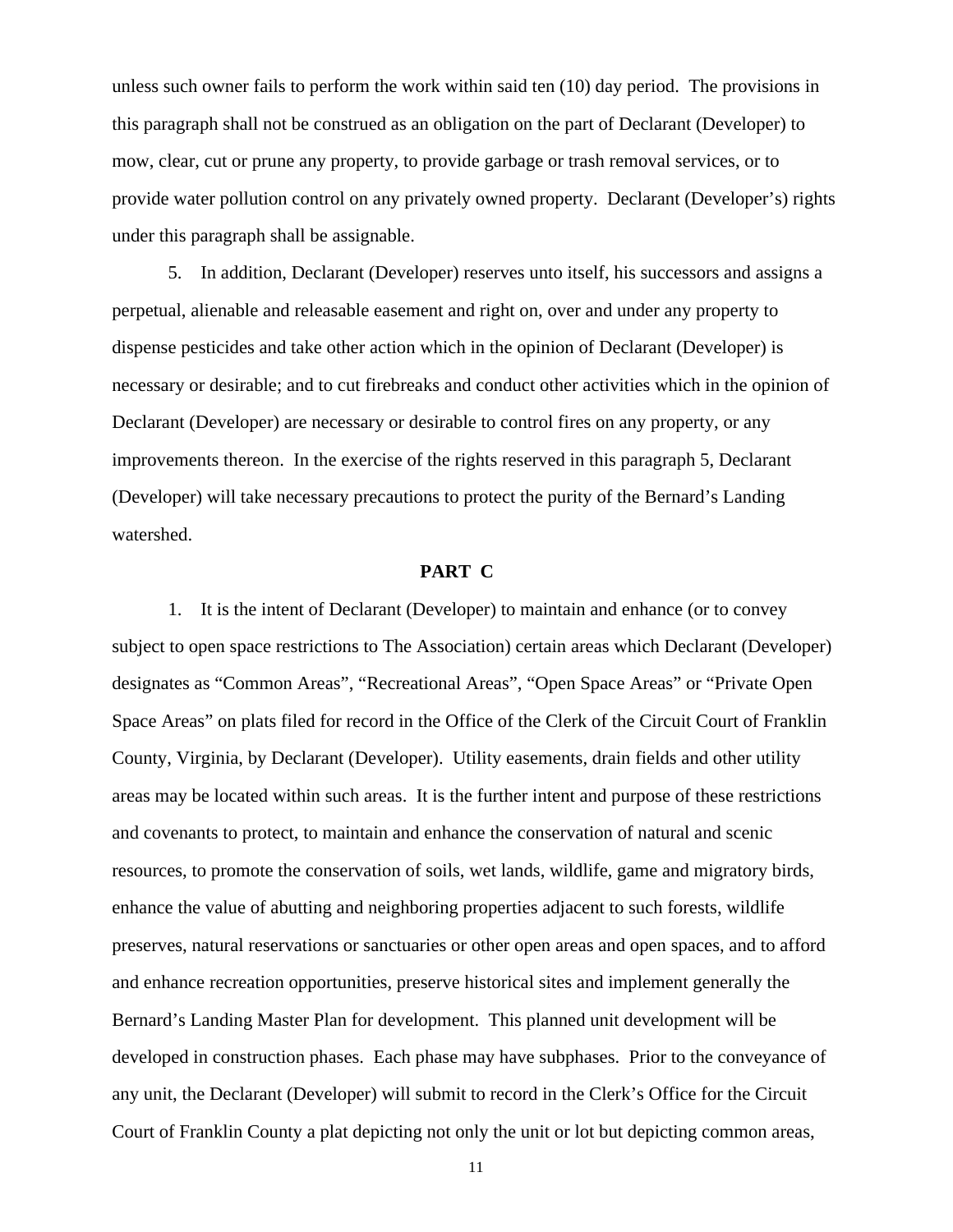unless such owner fails to perform the work within said ten (10) day period. The provisions in this paragraph shall not be construed as an obligation on the part of Declarant (Developer) to mow, clear, cut or prune any property, to provide garbage or trash removal services, or to provide water pollution control on any privately owned property. Declarant (Developer's) rights under this paragraph shall be assignable.

5. In addition, Declarant (Developer) reserves unto itself, his successors and assigns a perpetual, alienable and releasable easement and right on, over and under any property to dispense pesticides and take other action which in the opinion of Declarant (Developer) is necessary or desirable; and to cut firebreaks and conduct other activities which in the opinion of Declarant (Developer) are necessary or desirable to control fires on any property, or any improvements thereon. In the exercise of the rights reserved in this paragraph 5, Declarant (Developer) will take necessary precautions to protect the purity of the Bernard's Landing watershed.

#### **PART C**

1. It is the intent of Declarant (Developer) to maintain and enhance (or to convey subject to open space restrictions to The Association) certain areas which Declarant (Developer) designates as "Common Areas", "Recreational Areas", "Open Space Areas" or "Private Open Space Areas" on plats filed for record in the Office of the Clerk of the Circuit Court of Franklin County, Virginia, by Declarant (Developer). Utility easements, drain fields and other utility areas may be located within such areas. It is the further intent and purpose of these restrictions and covenants to protect, to maintain and enhance the conservation of natural and scenic resources, to promote the conservation of soils, wet lands, wildlife, game and migratory birds, enhance the value of abutting and neighboring properties adjacent to such forests, wildlife preserves, natural reservations or sanctuaries or other open areas and open spaces, and to afford and enhance recreation opportunities, preserve historical sites and implement generally the Bernard's Landing Master Plan for development. This planned unit development will be developed in construction phases. Each phase may have subphases. Prior to the conveyance of any unit, the Declarant (Developer) will submit to record in the Clerk's Office for the Circuit Court of Franklin County a plat depicting not only the unit or lot but depicting common areas,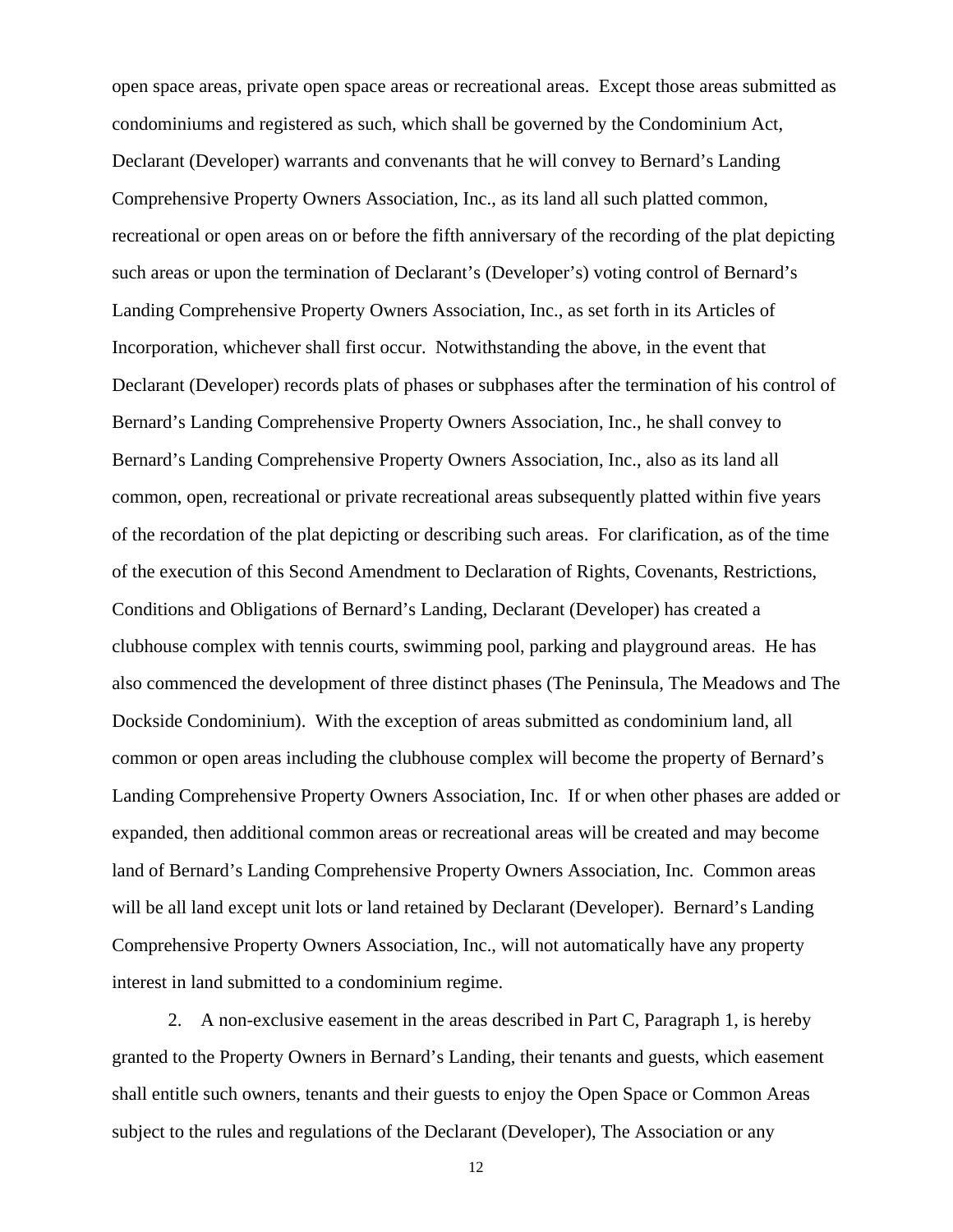open space areas, private open space areas or recreational areas. Except those areas submitted as condominiums and registered as such, which shall be governed by the Condominium Act, Declarant (Developer) warrants and convenants that he will convey to Bernard's Landing Comprehensive Property Owners Association, Inc., as its land all such platted common, recreational or open areas on or before the fifth anniversary of the recording of the plat depicting such areas or upon the termination of Declarant's (Developer's) voting control of Bernard's Landing Comprehensive Property Owners Association, Inc., as set forth in its Articles of Incorporation, whichever shall first occur. Notwithstanding the above, in the event that Declarant (Developer) records plats of phases or subphases after the termination of his control of Bernard's Landing Comprehensive Property Owners Association, Inc., he shall convey to Bernard's Landing Comprehensive Property Owners Association, Inc., also as its land all common, open, recreational or private recreational areas subsequently platted within five years of the recordation of the plat depicting or describing such areas. For clarification, as of the time of the execution of this Second Amendment to Declaration of Rights, Covenants, Restrictions, Conditions and Obligations of Bernard's Landing, Declarant (Developer) has created a clubhouse complex with tennis courts, swimming pool, parking and playground areas. He has also commenced the development of three distinct phases (The Peninsula, The Meadows and The Dockside Condominium). With the exception of areas submitted as condominium land, all common or open areas including the clubhouse complex will become the property of Bernard's Landing Comprehensive Property Owners Association, Inc. If or when other phases are added or expanded, then additional common areas or recreational areas will be created and may become land of Bernard's Landing Comprehensive Property Owners Association, Inc. Common areas will be all land except unit lots or land retained by Declarant (Developer). Bernard's Landing Comprehensive Property Owners Association, Inc., will not automatically have any property interest in land submitted to a condominium regime.

2. A non-exclusive easement in the areas described in Part C, Paragraph 1, is hereby granted to the Property Owners in Bernard's Landing, their tenants and guests, which easement shall entitle such owners, tenants and their guests to enjoy the Open Space or Common Areas subject to the rules and regulations of the Declarant (Developer), The Association or any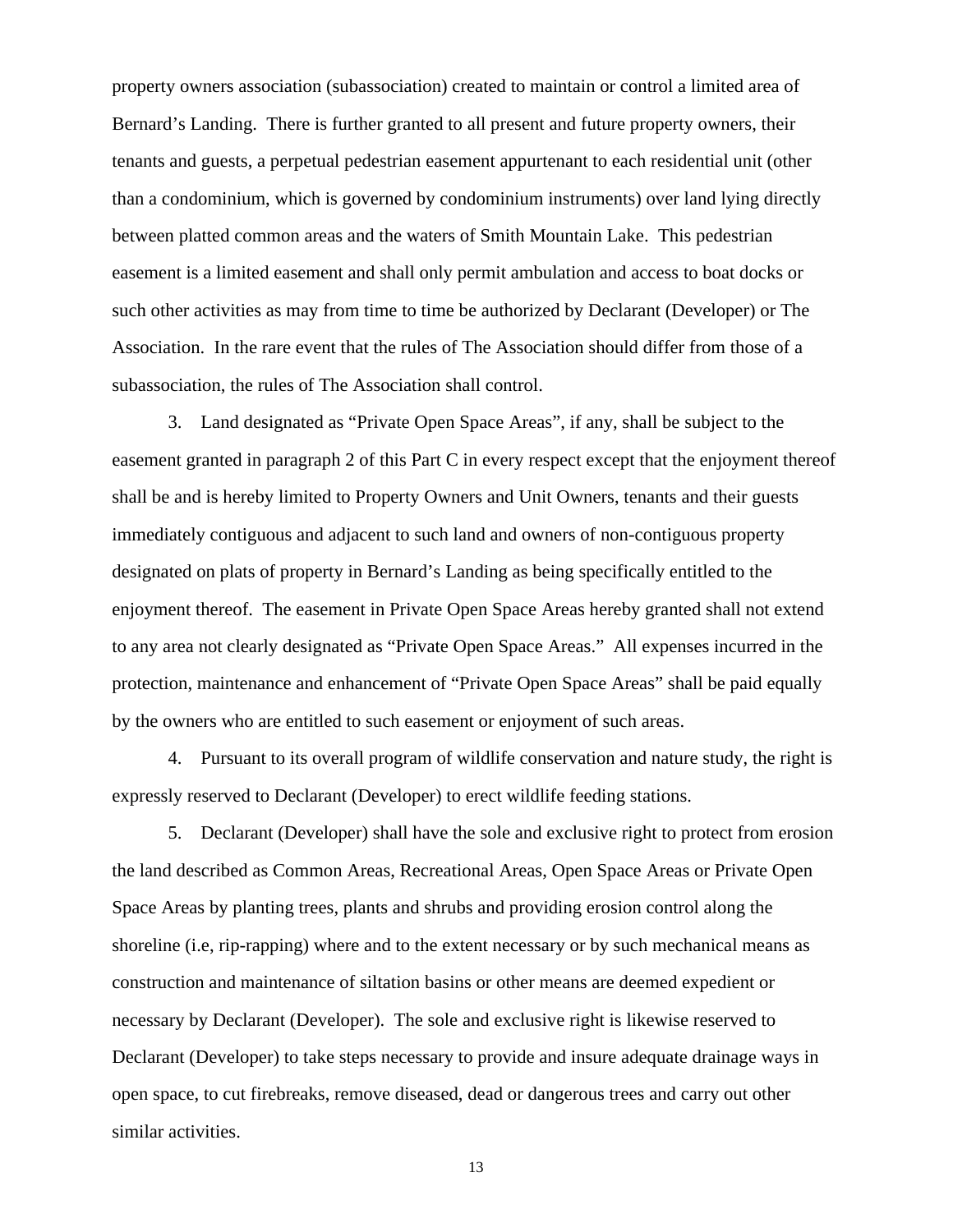property owners association (subassociation) created to maintain or control a limited area of Bernard's Landing. There is further granted to all present and future property owners, their tenants and guests, a perpetual pedestrian easement appurtenant to each residential unit (other than a condominium, which is governed by condominium instruments) over land lying directly between platted common areas and the waters of Smith Mountain Lake. This pedestrian easement is a limited easement and shall only permit ambulation and access to boat docks or such other activities as may from time to time be authorized by Declarant (Developer) or The Association. In the rare event that the rules of The Association should differ from those of a subassociation, the rules of The Association shall control.

3. Land designated as "Private Open Space Areas", if any, shall be subject to the easement granted in paragraph 2 of this Part C in every respect except that the enjoyment thereof shall be and is hereby limited to Property Owners and Unit Owners, tenants and their guests immediately contiguous and adjacent to such land and owners of non-contiguous property designated on plats of property in Bernard's Landing as being specifically entitled to the enjoyment thereof. The easement in Private Open Space Areas hereby granted shall not extend to any area not clearly designated as "Private Open Space Areas." All expenses incurred in the protection, maintenance and enhancement of "Private Open Space Areas" shall be paid equally by the owners who are entitled to such easement or enjoyment of such areas.

4. Pursuant to its overall program of wildlife conservation and nature study, the right is expressly reserved to Declarant (Developer) to erect wildlife feeding stations.

5. Declarant (Developer) shall have the sole and exclusive right to protect from erosion the land described as Common Areas, Recreational Areas, Open Space Areas or Private Open Space Areas by planting trees, plants and shrubs and providing erosion control along the shoreline (i.e, rip-rapping) where and to the extent necessary or by such mechanical means as construction and maintenance of siltation basins or other means are deemed expedient or necessary by Declarant (Developer). The sole and exclusive right is likewise reserved to Declarant (Developer) to take steps necessary to provide and insure adequate drainage ways in open space, to cut firebreaks, remove diseased, dead or dangerous trees and carry out other similar activities.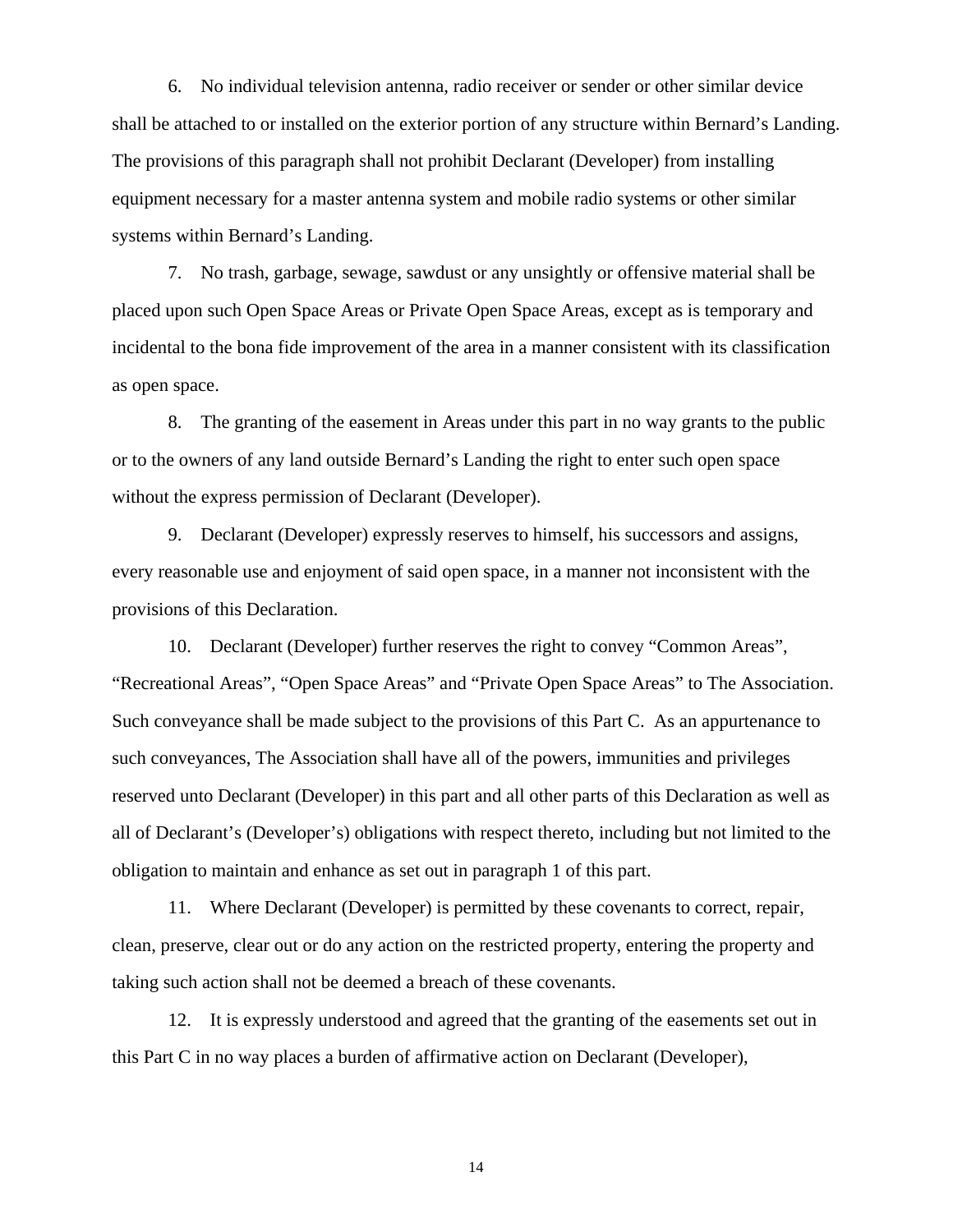6. No individual television antenna, radio receiver or sender or other similar device shall be attached to or installed on the exterior portion of any structure within Bernard's Landing. The provisions of this paragraph shall not prohibit Declarant (Developer) from installing equipment necessary for a master antenna system and mobile radio systems or other similar systems within Bernard's Landing.

7. No trash, garbage, sewage, sawdust or any unsightly or offensive material shall be placed upon such Open Space Areas or Private Open Space Areas, except as is temporary and incidental to the bona fide improvement of the area in a manner consistent with its classification as open space.

8. The granting of the easement in Areas under this part in no way grants to the public or to the owners of any land outside Bernard's Landing the right to enter such open space without the express permission of Declarant (Developer).

9. Declarant (Developer) expressly reserves to himself, his successors and assigns, every reasonable use and enjoyment of said open space, in a manner not inconsistent with the provisions of this Declaration.

10. Declarant (Developer) further reserves the right to convey "Common Areas", "Recreational Areas", "Open Space Areas" and "Private Open Space Areas" to The Association. Such conveyance shall be made subject to the provisions of this Part C. As an appurtenance to such conveyances, The Association shall have all of the powers, immunities and privileges reserved unto Declarant (Developer) in this part and all other parts of this Declaration as well as all of Declarant's (Developer's) obligations with respect thereto, including but not limited to the obligation to maintain and enhance as set out in paragraph 1 of this part.

11. Where Declarant (Developer) is permitted by these covenants to correct, repair, clean, preserve, clear out or do any action on the restricted property, entering the property and taking such action shall not be deemed a breach of these covenants.

 12. It is expressly understood and agreed that the granting of the easements set out in this Part C in no way places a burden of affirmative action on Declarant (Developer),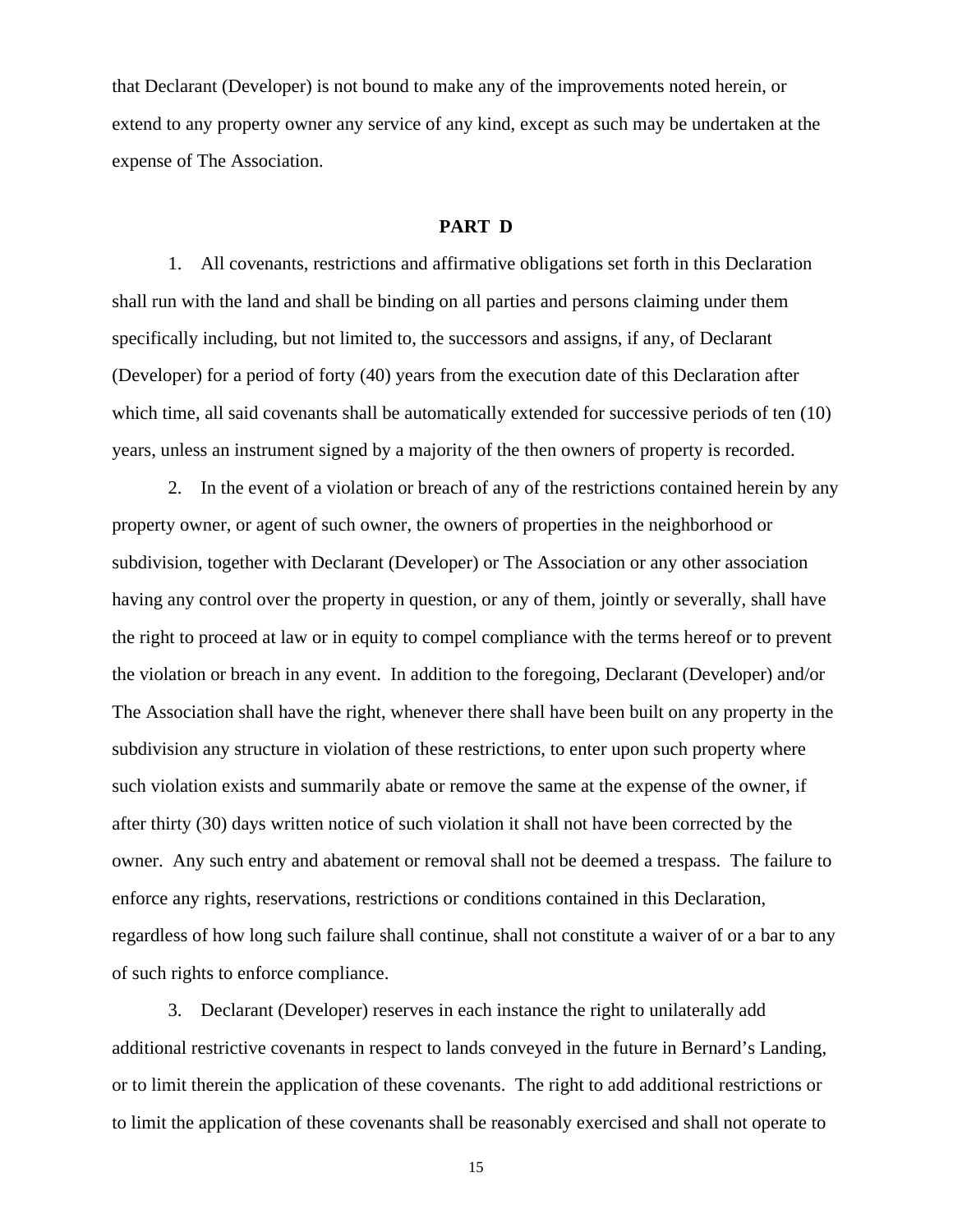that Declarant (Developer) is not bound to make any of the improvements noted herein, or extend to any property owner any service of any kind, except as such may be undertaken at the expense of The Association.

### **PART D**

1. All covenants, restrictions and affirmative obligations set forth in this Declaration shall run with the land and shall be binding on all parties and persons claiming under them specifically including, but not limited to, the successors and assigns, if any, of Declarant (Developer) for a period of forty (40) years from the execution date of this Declaration after which time, all said covenants shall be automatically extended for successive periods of ten (10) years, unless an instrument signed by a majority of the then owners of property is recorded.

2. In the event of a violation or breach of any of the restrictions contained herein by any property owner, or agent of such owner, the owners of properties in the neighborhood or subdivision, together with Declarant (Developer) or The Association or any other association having any control over the property in question, or any of them, jointly or severally, shall have the right to proceed at law or in equity to compel compliance with the terms hereof or to prevent the violation or breach in any event. In addition to the foregoing, Declarant (Developer) and/or The Association shall have the right, whenever there shall have been built on any property in the subdivision any structure in violation of these restrictions, to enter upon such property where such violation exists and summarily abate or remove the same at the expense of the owner, if after thirty (30) days written notice of such violation it shall not have been corrected by the owner. Any such entry and abatement or removal shall not be deemed a trespass. The failure to enforce any rights, reservations, restrictions or conditions contained in this Declaration, regardless of how long such failure shall continue, shall not constitute a waiver of or a bar to any of such rights to enforce compliance.

3. Declarant (Developer) reserves in each instance the right to unilaterally add additional restrictive covenants in respect to lands conveyed in the future in Bernard's Landing, or to limit therein the application of these covenants. The right to add additional restrictions or to limit the application of these covenants shall be reasonably exercised and shall not operate to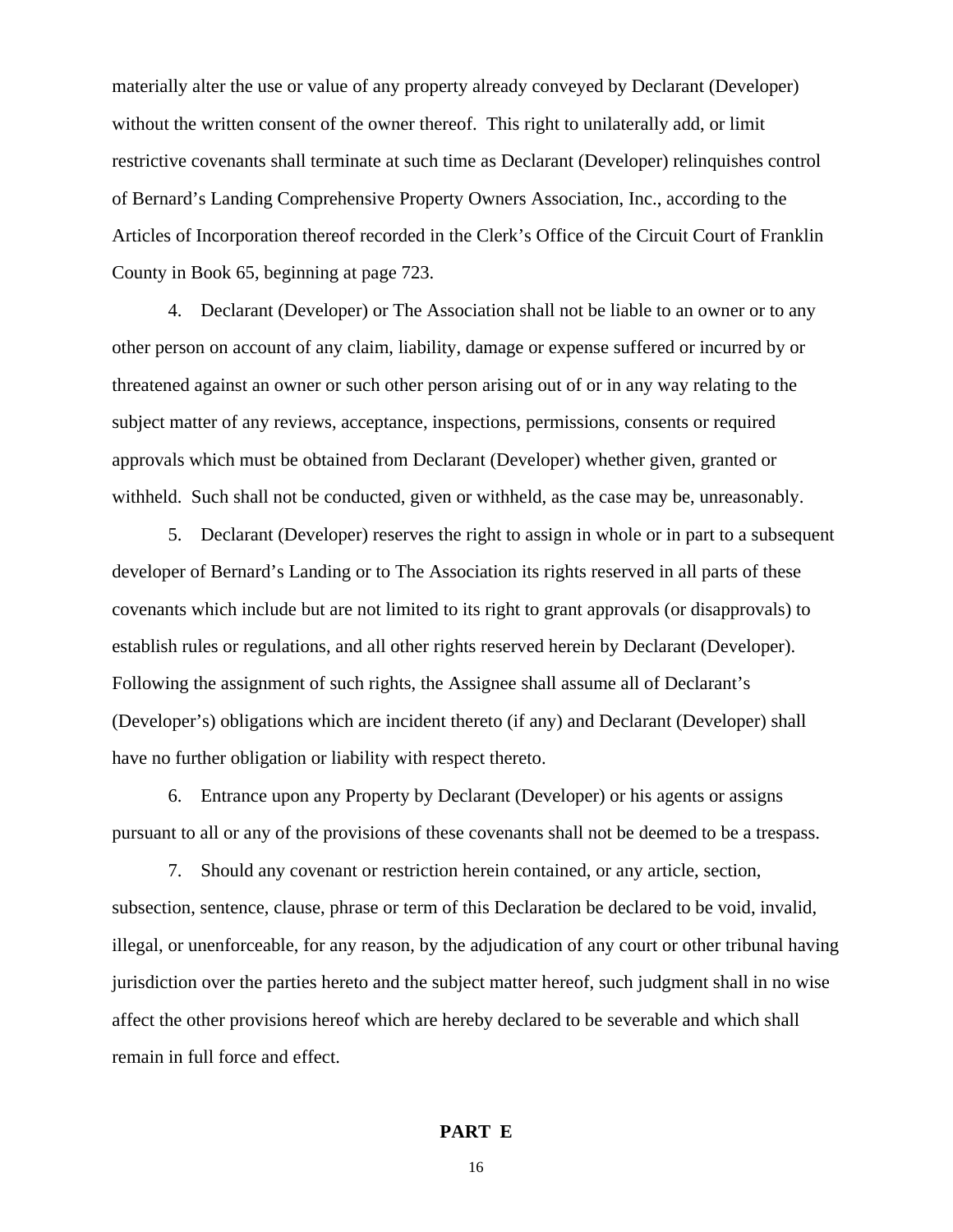materially alter the use or value of any property already conveyed by Declarant (Developer) without the written consent of the owner thereof. This right to unilaterally add, or limit restrictive covenants shall terminate at such time as Declarant (Developer) relinquishes control of Bernard's Landing Comprehensive Property Owners Association, Inc., according to the Articles of Incorporation thereof recorded in the Clerk's Office of the Circuit Court of Franklin County in Book 65, beginning at page 723.

4. Declarant (Developer) or The Association shall not be liable to an owner or to any other person on account of any claim, liability, damage or expense suffered or incurred by or threatened against an owner or such other person arising out of or in any way relating to the subject matter of any reviews, acceptance, inspections, permissions, consents or required approvals which must be obtained from Declarant (Developer) whether given, granted or withheld. Such shall not be conducted, given or withheld, as the case may be, unreasonably.

5. Declarant (Developer) reserves the right to assign in whole or in part to a subsequent developer of Bernard's Landing or to The Association its rights reserved in all parts of these covenants which include but are not limited to its right to grant approvals (or disapprovals) to establish rules or regulations, and all other rights reserved herein by Declarant (Developer). Following the assignment of such rights, the Assignee shall assume all of Declarant's (Developer's) obligations which are incident thereto (if any) and Declarant (Developer) shall have no further obligation or liability with respect thereto.

6. Entrance upon any Property by Declarant (Developer) or his agents or assigns pursuant to all or any of the provisions of these covenants shall not be deemed to be a trespass.

7. Should any covenant or restriction herein contained, or any article, section, subsection, sentence, clause, phrase or term of this Declaration be declared to be void, invalid, illegal, or unenforceable, for any reason, by the adjudication of any court or other tribunal having jurisdiction over the parties hereto and the subject matter hereof, such judgment shall in no wise affect the other provisions hereof which are hereby declared to be severable and which shall remain in full force and effect.

# **PART E**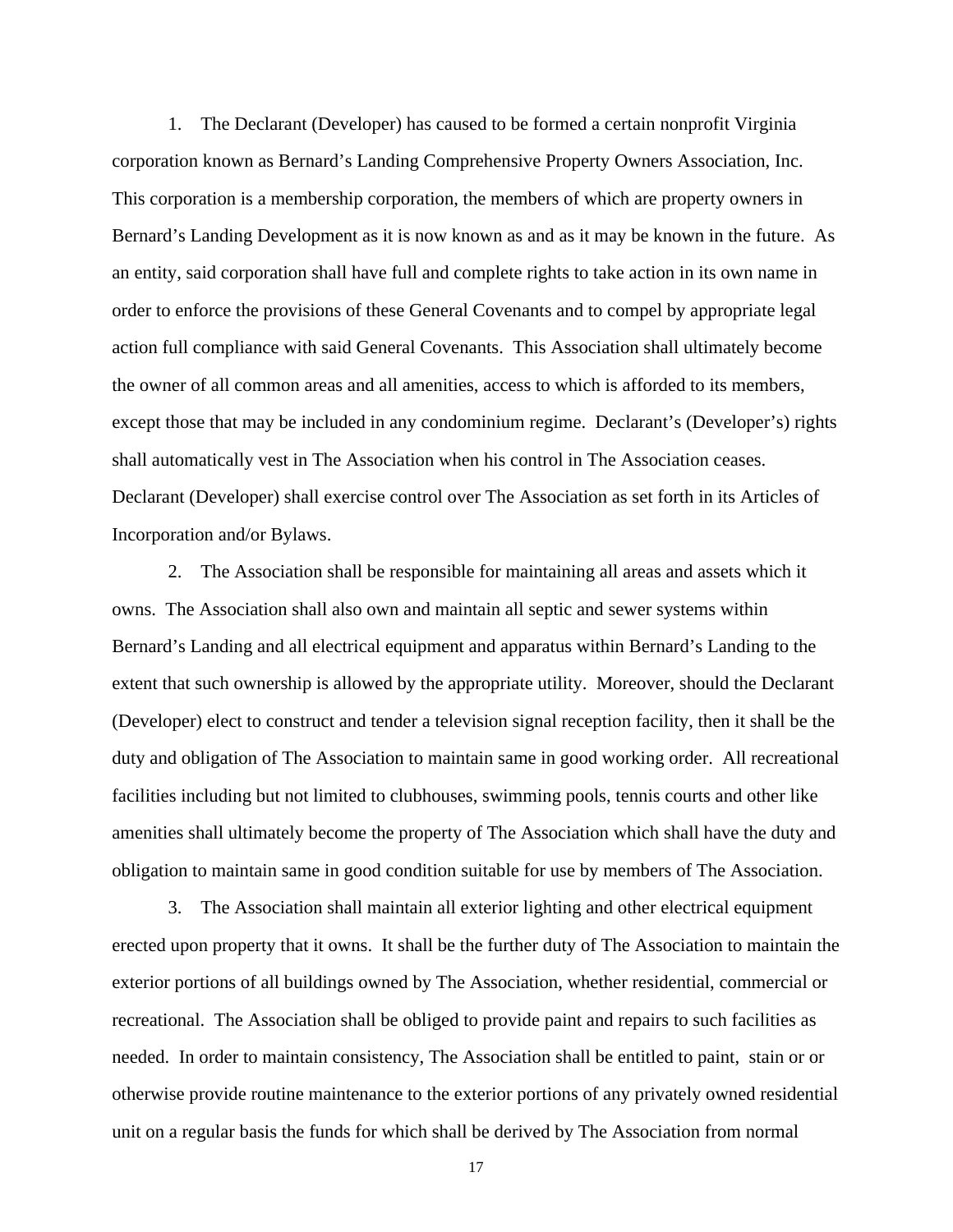1. The Declarant (Developer) has caused to be formed a certain nonprofit Virginia corporation known as Bernard's Landing Comprehensive Property Owners Association, Inc. This corporation is a membership corporation, the members of which are property owners in Bernard's Landing Development as it is now known as and as it may be known in the future. As an entity, said corporation shall have full and complete rights to take action in its own name in order to enforce the provisions of these General Covenants and to compel by appropriate legal action full compliance with said General Covenants. This Association shall ultimately become the owner of all common areas and all amenities, access to which is afforded to its members, except those that may be included in any condominium regime. Declarant's (Developer's) rights shall automatically vest in The Association when his control in The Association ceases. Declarant (Developer) shall exercise control over The Association as set forth in its Articles of Incorporation and/or Bylaws.

2. The Association shall be responsible for maintaining all areas and assets which it owns. The Association shall also own and maintain all septic and sewer systems within Bernard's Landing and all electrical equipment and apparatus within Bernard's Landing to the extent that such ownership is allowed by the appropriate utility. Moreover, should the Declarant (Developer) elect to construct and tender a television signal reception facility, then it shall be the duty and obligation of The Association to maintain same in good working order. All recreational facilities including but not limited to clubhouses, swimming pools, tennis courts and other like amenities shall ultimately become the property of The Association which shall have the duty and obligation to maintain same in good condition suitable for use by members of The Association.

3. The Association shall maintain all exterior lighting and other electrical equipment erected upon property that it owns. It shall be the further duty of The Association to maintain the exterior portions of all buildings owned by The Association, whether residential, commercial or recreational. The Association shall be obliged to provide paint and repairs to such facilities as needed. In order to maintain consistency, The Association shall be entitled to paint, stain or or otherwise provide routine maintenance to the exterior portions of any privately owned residential unit on a regular basis the funds for which shall be derived by The Association from normal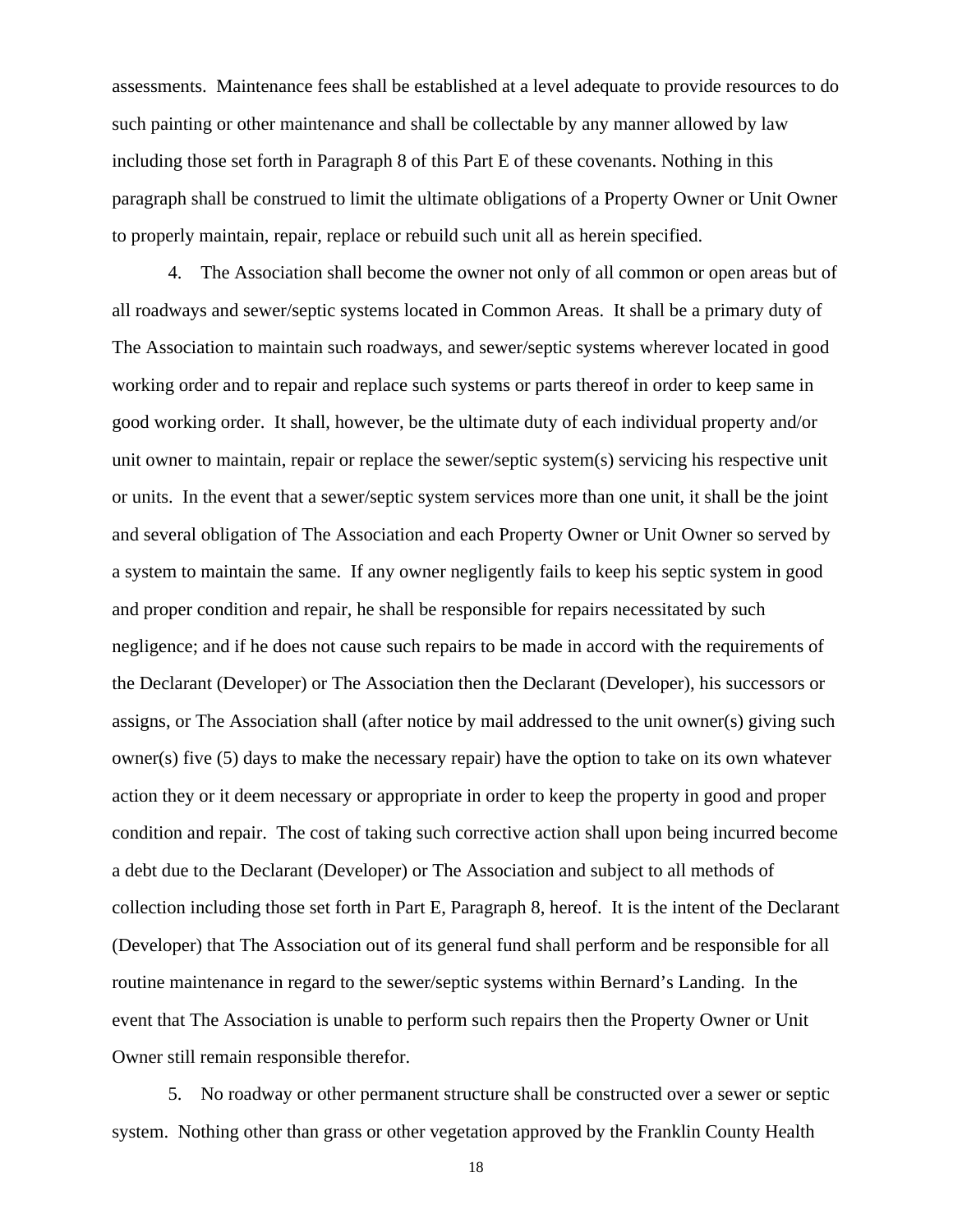assessments. Maintenance fees shall be established at a level adequate to provide resources to do such painting or other maintenance and shall be collectable by any manner allowed by law including those set forth in Paragraph 8 of this Part E of these covenants. Nothing in this paragraph shall be construed to limit the ultimate obligations of a Property Owner or Unit Owner to properly maintain, repair, replace or rebuild such unit all as herein specified.

4. The Association shall become the owner not only of all common or open areas but of all roadways and sewer/septic systems located in Common Areas. It shall be a primary duty of The Association to maintain such roadways, and sewer/septic systems wherever located in good working order and to repair and replace such systems or parts thereof in order to keep same in good working order. It shall, however, be the ultimate duty of each individual property and/or unit owner to maintain, repair or replace the sewer/septic system(s) servicing his respective unit or units. In the event that a sewer/septic system services more than one unit, it shall be the joint and several obligation of The Association and each Property Owner or Unit Owner so served by a system to maintain the same. If any owner negligently fails to keep his septic system in good and proper condition and repair, he shall be responsible for repairs necessitated by such negligence; and if he does not cause such repairs to be made in accord with the requirements of the Declarant (Developer) or The Association then the Declarant (Developer), his successors or assigns, or The Association shall (after notice by mail addressed to the unit owner(s) giving such owner(s) five (5) days to make the necessary repair) have the option to take on its own whatever action they or it deem necessary or appropriate in order to keep the property in good and proper condition and repair. The cost of taking such corrective action shall upon being incurred become a debt due to the Declarant (Developer) or The Association and subject to all methods of collection including those set forth in Part E, Paragraph 8, hereof. It is the intent of the Declarant (Developer) that The Association out of its general fund shall perform and be responsible for all routine maintenance in regard to the sewer/septic systems within Bernard's Landing. In the event that The Association is unable to perform such repairs then the Property Owner or Unit Owner still remain responsible therefor.

5. No roadway or other permanent structure shall be constructed over a sewer or septic system. Nothing other than grass or other vegetation approved by the Franklin County Health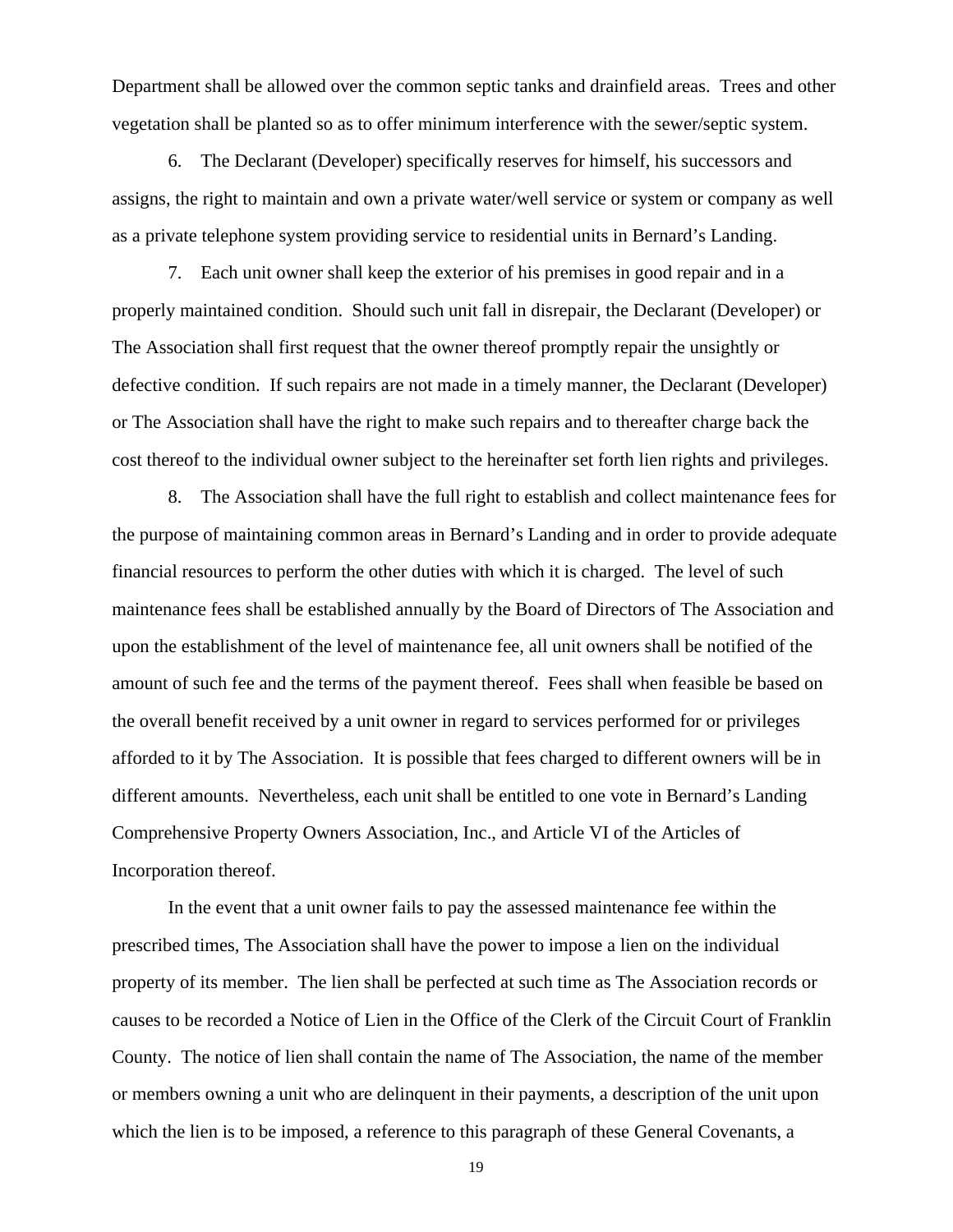Department shall be allowed over the common septic tanks and drainfield areas. Trees and other vegetation shall be planted so as to offer minimum interference with the sewer/septic system.

6. The Declarant (Developer) specifically reserves for himself, his successors and assigns, the right to maintain and own a private water/well service or system or company as well as a private telephone system providing service to residential units in Bernard's Landing.

7. Each unit owner shall keep the exterior of his premises in good repair and in a properly maintained condition. Should such unit fall in disrepair, the Declarant (Developer) or The Association shall first request that the owner thereof promptly repair the unsightly or defective condition. If such repairs are not made in a timely manner, the Declarant (Developer) or The Association shall have the right to make such repairs and to thereafter charge back the cost thereof to the individual owner subject to the hereinafter set forth lien rights and privileges.

8. The Association shall have the full right to establish and collect maintenance fees for the purpose of maintaining common areas in Bernard's Landing and in order to provide adequate financial resources to perform the other duties with which it is charged. The level of such maintenance fees shall be established annually by the Board of Directors of The Association and upon the establishment of the level of maintenance fee, all unit owners shall be notified of the amount of such fee and the terms of the payment thereof. Fees shall when feasible be based on the overall benefit received by a unit owner in regard to services performed for or privileges afforded to it by The Association. It is possible that fees charged to different owners will be in different amounts. Nevertheless, each unit shall be entitled to one vote in Bernard's Landing Comprehensive Property Owners Association, Inc., and Article VI of the Articles of Incorporation thereof.

In the event that a unit owner fails to pay the assessed maintenance fee within the prescribed times, The Association shall have the power to impose a lien on the individual property of its member. The lien shall be perfected at such time as The Association records or causes to be recorded a Notice of Lien in the Office of the Clerk of the Circuit Court of Franklin County. The notice of lien shall contain the name of The Association, the name of the member or members owning a unit who are delinquent in their payments, a description of the unit upon which the lien is to be imposed, a reference to this paragraph of these General Covenants, a